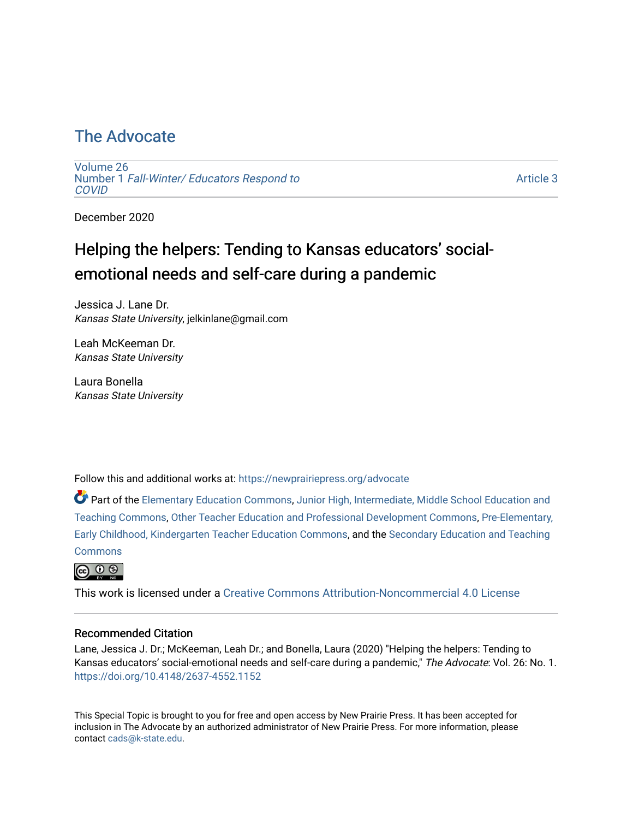## [The Advocate](https://newprairiepress.org/advocate)

[Volume 26](https://newprairiepress.org/advocate/vol26) Number 1 [Fall-Winter/ Educators Respond to](https://newprairiepress.org/advocate/vol26/iss1)  **COVID** 

[Article 3](https://newprairiepress.org/advocate/vol26/iss1/3) 

December 2020

# Helping the helpers: Tending to Kansas educators' socialemotional needs and self-care during a pandemic

Jessica J. Lane Dr. Kansas State University, jelkinlane@gmail.com

Leah McKeeman Dr. Kansas State University

Laura Bonella Kansas State University

Follow this and additional works at: [https://newprairiepress.org/advocate](https://newprairiepress.org/advocate?utm_source=newprairiepress.org%2Fadvocate%2Fvol26%2Fiss1%2F3&utm_medium=PDF&utm_campaign=PDFCoverPages) 

Part of the [Elementary Education Commons,](http://network.bepress.com/hgg/discipline/1378?utm_source=newprairiepress.org%2Fadvocate%2Fvol26%2Fiss1%2F3&utm_medium=PDF&utm_campaign=PDFCoverPages) [Junior High, Intermediate, Middle School Education and](http://network.bepress.com/hgg/discipline/807?utm_source=newprairiepress.org%2Fadvocate%2Fvol26%2Fiss1%2F3&utm_medium=PDF&utm_campaign=PDFCoverPages) [Teaching Commons](http://network.bepress.com/hgg/discipline/807?utm_source=newprairiepress.org%2Fadvocate%2Fvol26%2Fiss1%2F3&utm_medium=PDF&utm_campaign=PDFCoverPages), [Other Teacher Education and Professional Development Commons,](http://network.bepress.com/hgg/discipline/810?utm_source=newprairiepress.org%2Fadvocate%2Fvol26%2Fiss1%2F3&utm_medium=PDF&utm_campaign=PDFCoverPages) [Pre-Elementary,](http://network.bepress.com/hgg/discipline/808?utm_source=newprairiepress.org%2Fadvocate%2Fvol26%2Fiss1%2F3&utm_medium=PDF&utm_campaign=PDFCoverPages) [Early Childhood, Kindergarten Teacher Education Commons](http://network.bepress.com/hgg/discipline/808?utm_source=newprairiepress.org%2Fadvocate%2Fvol26%2Fiss1%2F3&utm_medium=PDF&utm_campaign=PDFCoverPages), and the [Secondary Education and Teaching](http://network.bepress.com/hgg/discipline/809?utm_source=newprairiepress.org%2Fadvocate%2Fvol26%2Fiss1%2F3&utm_medium=PDF&utm_campaign=PDFCoverPages) **[Commons](http://network.bepress.com/hgg/discipline/809?utm_source=newprairiepress.org%2Fadvocate%2Fvol26%2Fiss1%2F3&utm_medium=PDF&utm_campaign=PDFCoverPages)** 



This work is licensed under a [Creative Commons Attribution-Noncommercial 4.0 License](https://creativecommons.org/licenses/by-nc/4.0/)

#### Recommended Citation

Lane, Jessica J. Dr.; McKeeman, Leah Dr.; and Bonella, Laura (2020) "Helping the helpers: Tending to Kansas educators' social-emotional needs and self-care during a pandemic," The Advocate: Vol. 26: No. 1. <https://doi.org/10.4148/2637-4552.1152>

This Special Topic is brought to you for free and open access by New Prairie Press. It has been accepted for inclusion in The Advocate by an authorized administrator of New Prairie Press. For more information, please contact [cads@k-state.edu](mailto:cads@k-state.edu).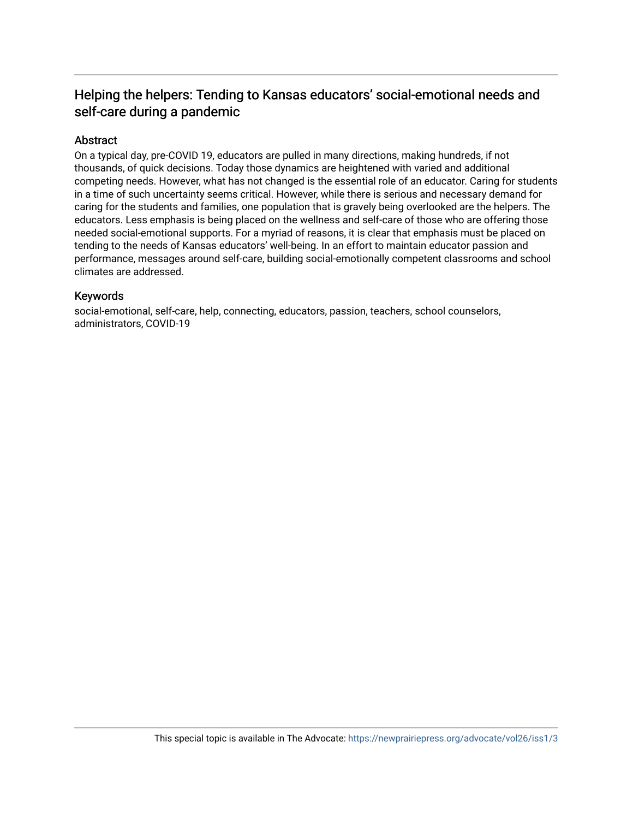### Helping the helpers: Tending to Kansas educators' social-emotional needs and self-care during a pandemic

#### Abstract

On a typical day, pre-COVID 19, educators are pulled in many directions, making hundreds, if not thousands, of quick decisions. Today those dynamics are heightened with varied and additional competing needs. However, what has not changed is the essential role of an educator. Caring for students in a time of such uncertainty seems critical. However, while there is serious and necessary demand for caring for the students and families, one population that is gravely being overlooked are the helpers. The educators. Less emphasis is being placed on the wellness and self-care of those who are offering those needed social-emotional supports. For a myriad of reasons, it is clear that emphasis must be placed on tending to the needs of Kansas educators' well-being. In an effort to maintain educator passion and performance, messages around self-care, building social-emotionally competent classrooms and school climates are addressed.

#### Keywords

social-emotional, self-care, help, connecting, educators, passion, teachers, school counselors, administrators, COVID-19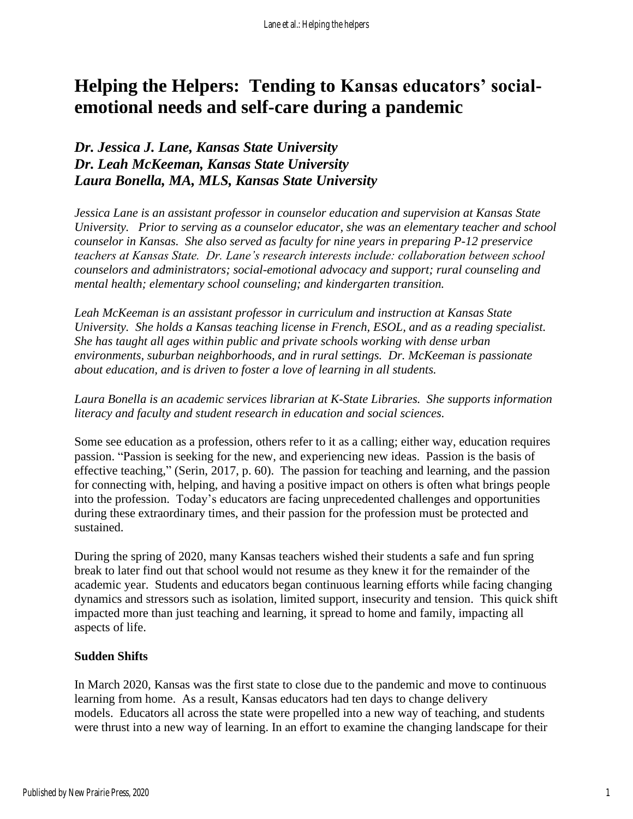# **Helping the Helpers: Tending to Kansas educators' socialemotional needs and self-care during a pandemic**

### *Dr. Jessica J. Lane, Kansas State University Dr. Leah McKeeman, Kansas State University Laura Bonella, MA, MLS, Kansas State University*

*Jessica Lane is an assistant professor in counselor education and supervision at Kansas State University. Prior to serving as a counselor educator, she was an elementary teacher and school counselor in Kansas. She also served as faculty for nine years in preparing P-12 preservice teachers at Kansas State. Dr. Lane's research interests include: collaboration between school counselors and administrators; social-emotional advocacy and support; rural counseling and mental health; elementary school counseling; and kindergarten transition.* 

*Leah McKeeman is an assistant professor in curriculum and instruction at Kansas State University. She holds a Kansas teaching license in French, ESOL, and as a reading specialist. She has taught all ages within public and private schools working with dense urban environments, suburban neighborhoods, and in rural settings. Dr. McKeeman is passionate about education, and is driven to foster a love of learning in all students.*

#### *Laura Bonella is an academic services librarian at K-State Libraries. She supports information literacy and faculty and student research in education and social sciences.*

Some see education as a profession, others refer to it as a calling; either way, education requires passion. "Passion is seeking for the new, and experiencing new ideas. Passion is the basis of effective teaching," (Serin, 2017, p. 60). The passion for teaching and learning, and the passion for connecting with, helping, and having a positive impact on others is often what brings people into the profession. Today's educators are facing unprecedented challenges and opportunities during these extraordinary times, and their passion for the profession must be protected and sustained.

During the spring of 2020, many Kansas teachers wished their students a safe and fun spring break to later find out that school would not resume as they knew it for the remainder of the academic year. Students and educators began continuous learning efforts while facing changing dynamics and stressors such as isolation, limited support, insecurity and tension. This quick shift impacted more than just teaching and learning, it spread to home and family, impacting all aspects of life.

#### **Sudden Shifts**

In March 2020, Kansas was the first state to close due to the pandemic and move to continuous learning from home. As a result, Kansas educators had ten days to change delivery models. Educators all across the state were propelled into a new way of teaching, and students were thrust into a new way of learning. In an effort to examine the changing landscape for their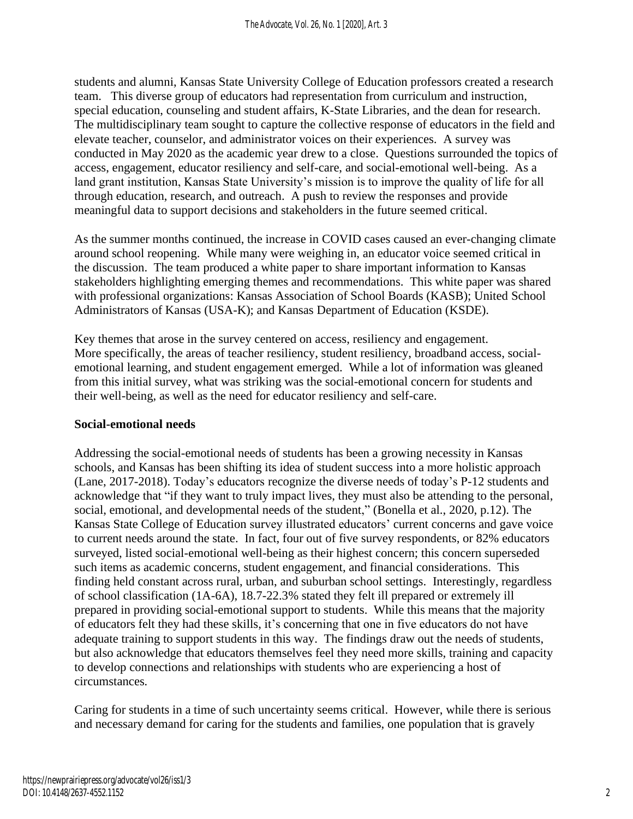students and alumni, Kansas State University College of Education professors created a research team. This diverse group of educators had representation from curriculum and instruction, special education, counseling and student affairs, K-State Libraries, and the dean for research. The multidisciplinary team sought to capture the collective response of educators in the field and elevate teacher, counselor, and administrator voices on their experiences. A survey was conducted in May 2020 as the academic year drew to a close. Questions surrounded the topics of access, engagement, educator resiliency and self-care, and social-emotional well-being. As a land grant institution, Kansas State University's mission is to improve the quality of life for all through education, research, and outreach. A push to review the responses and provide meaningful data to support decisions and stakeholders in the future seemed critical.

As the summer months continued, the increase in COVID cases caused an ever-changing climate around school reopening. While many were weighing in, an educator voice seemed critical in the discussion. The team produced a white paper to share important information to Kansas stakeholders highlighting emerging themes and recommendations. This white paper was shared with professional organizations: Kansas Association of School Boards (KASB); United School Administrators of Kansas (USA-K); and Kansas Department of Education (KSDE).

Key themes that arose in the survey centered on access, resiliency and engagement. More specifically, the areas of teacher resiliency, student resiliency, broadband access, socialemotional learning, and student engagement emerged. While a lot of information was gleaned from this initial survey, what was striking was the social-emotional concern for students and their well-being, as well as the need for educator resiliency and self-care.

#### **Social-emotional needs**

Addressing the social-emotional needs of students has been a growing necessity in Kansas schools, and Kansas has been shifting its idea of student success into a more holistic approach (Lane, 2017-2018). Today's educators recognize the diverse needs of today's P-12 students and acknowledge that "if they want to truly impact lives, they must also be attending to the personal, social, emotional, and developmental needs of the student," (Bonella et al., 2020, p.12). The Kansas State College of Education survey illustrated educators' current concerns and gave voice to current needs around the state. In fact, four out of five survey respondents, or 82% educators surveyed, listed social-emotional well-being as their highest concern; this concern superseded such items as academic concerns, student engagement, and financial considerations. This finding held constant across rural, urban, and suburban school settings. Interestingly, regardless of school classification (1A-6A), 18.7-22.3% stated they felt ill prepared or extremely ill prepared in providing social-emotional support to students. While this means that the majority of educators felt they had these skills, it's concerning that one in five educators do not have adequate training to support students in this way. The findings draw out the needs of students, but also acknowledge that educators themselves feel they need more skills, training and capacity to develop connections and relationships with students who are experiencing a host of circumstances*.*

Caring for students in a time of such uncertainty seems critical. However, while there is serious and necessary demand for caring for the students and families, one population that is gravely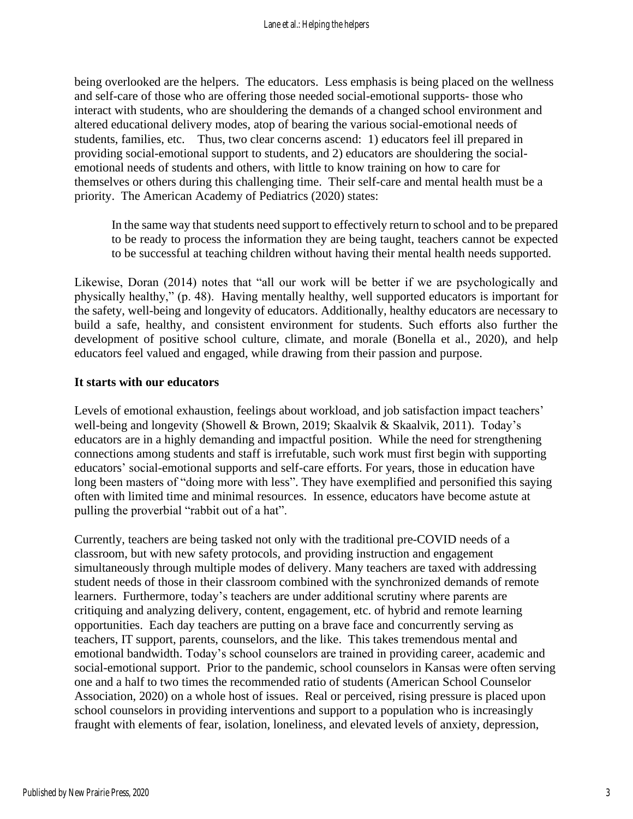being overlooked are the helpers. The educators. Less emphasis is being placed on the wellness and self-care of those who are offering those needed social-emotional supports- those who interact with students, who are shouldering the demands of a changed school environment and altered educational delivery modes, atop of bearing the various social-emotional needs of students, families, etc. Thus, two clear concerns ascend: 1) educators feel ill prepared in providing social-emotional support to students, and 2) educators are shouldering the socialemotional needs of students and others, with little to know training on how to care for themselves or others during this challenging time. Their self-care and mental health must be a priority. The American Academy of Pediatrics (2020) states:

In the same way that students need support to effectively return to school and to be prepared to be ready to process the information they are being taught, teachers cannot be expected to be successful at teaching children without having their mental health needs supported.

Likewise, Doran (2014) notes that "all our work will be better if we are psychologically and physically healthy," (p. 48). Having mentally healthy, well supported educators is important for the safety, well-being and longevity of educators. Additionally, healthy educators are necessary to build a safe, healthy, and consistent environment for students. Such efforts also further the development of positive school culture, climate, and morale (Bonella et al., 2020), and help educators feel valued and engaged, while drawing from their passion and purpose.

#### **It starts with our educators**

Levels of emotional exhaustion, feelings about workload, and job satisfaction impact teachers' well-being and longevity (Showell & Brown, 2019; Skaalvik & Skaalvik, 2011). Today's educators are in a highly demanding and impactful position. While the need for strengthening connections among students and staff is irrefutable, such work must first begin with supporting educators' social-emotional supports and self-care efforts. For years, those in education have long been masters of "doing more with less". They have exemplified and personified this saying often with limited time and minimal resources. In essence, educators have become astute at pulling the proverbial "rabbit out of a hat".

Currently, teachers are being tasked not only with the traditional pre-COVID needs of a classroom, but with new safety protocols, and providing instruction and engagement simultaneously through multiple modes of delivery. Many teachers are taxed with addressing student needs of those in their classroom combined with the synchronized demands of remote learners. Furthermore, today's teachers are under additional scrutiny where parents are critiquing and analyzing delivery, content, engagement, etc. of hybrid and remote learning opportunities. Each day teachers are putting on a brave face and concurrently serving as teachers, IT support, parents, counselors, and the like. This takes tremendous mental and emotional bandwidth. Today's school counselors are trained in providing career, academic and social-emotional support. Prior to the pandemic, school counselors in Kansas were often serving one and a half to two times the recommended ratio of students (American School Counselor Association, 2020) on a whole host of issues. Real or perceived, rising pressure is placed upon school counselors in providing interventions and support to a population who is increasingly fraught with elements of fear, isolation, loneliness, and elevated levels of anxiety, depression,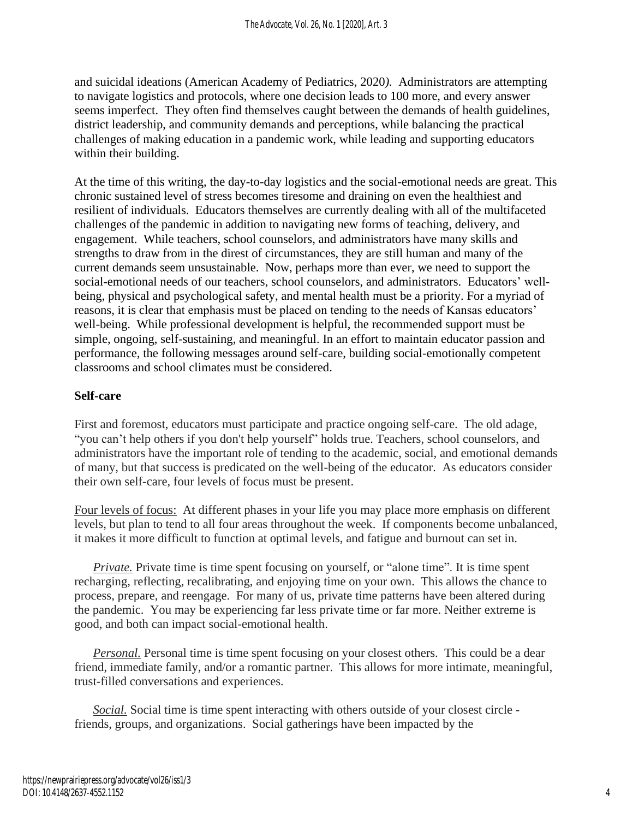and suicidal ideations (American Academy of Pediatrics, 2020*).* Administrators are attempting to navigate logistics and protocols, where one decision leads to 100 more, and every answer seems imperfect. They often find themselves caught between the demands of health guidelines, district leadership, and community demands and perceptions, while balancing the practical challenges of making education in a pandemic work, while leading and supporting educators within their building.

At the time of this writing, the day-to-day logistics and the social-emotional needs are great. This chronic sustained level of stress becomes tiresome and draining on even the healthiest and resilient of individuals. Educators themselves are currently dealing with all of the multifaceted challenges of the pandemic in addition to navigating new forms of teaching, delivery, and engagement. While teachers, school counselors, and administrators have many skills and strengths to draw from in the direst of circumstances, they are still human and many of the current demands seem unsustainable. Now, perhaps more than ever, we need to support the social-emotional needs of our teachers, school counselors, and administrators. Educators' wellbeing, physical and psychological safety, and mental health must be a priority. For a myriad of reasons, it is clear that emphasis must be placed on tending to the needs of Kansas educators' well-being. While professional development is helpful, the recommended support must be simple, ongoing, self-sustaining, and meaningful. In an effort to maintain educator passion and performance, the following messages around self-care, building social-emotionally competent classrooms and school climates must be considered.

#### **Self-care**

First and foremost, educators must participate and practice ongoing self-care. The old adage, "you can't help others if you don't help yourself" holds true. Teachers, school counselors, and administrators have the important role of tending to the academic, social, and emotional demands of many, but that success is predicated on the well-being of the educator. As educators consider their own self-care, four levels of focus must be present.

Four levels of focus: At different phases in your life you may place more emphasis on different levels, but plan to tend to all four areas throughout the week. If components become unbalanced, it makes it more difficult to function at optimal levels, and fatigue and burnout can set in.

*Private*. Private time is time spent focusing on yourself, or "alone time". It is time spent recharging, reflecting, recalibrating, and enjoying time on your own. This allows the chance to process, prepare, and reengage. For many of us, private time patterns have been altered during the pandemic. You may be experiencing far less private time or far more. Neither extreme is good, and both can impact social-emotional health.

*Personal.* Personal time is time spent focusing on your closest others. This could be a dear friend, immediate family, and/or a romantic partner. This allows for more intimate, meaningful, trust-filled conversations and experiences.

*Social.* Social time is time spent interacting with others outside of your closest circle friends, groups, and organizations. Social gatherings have been impacted by the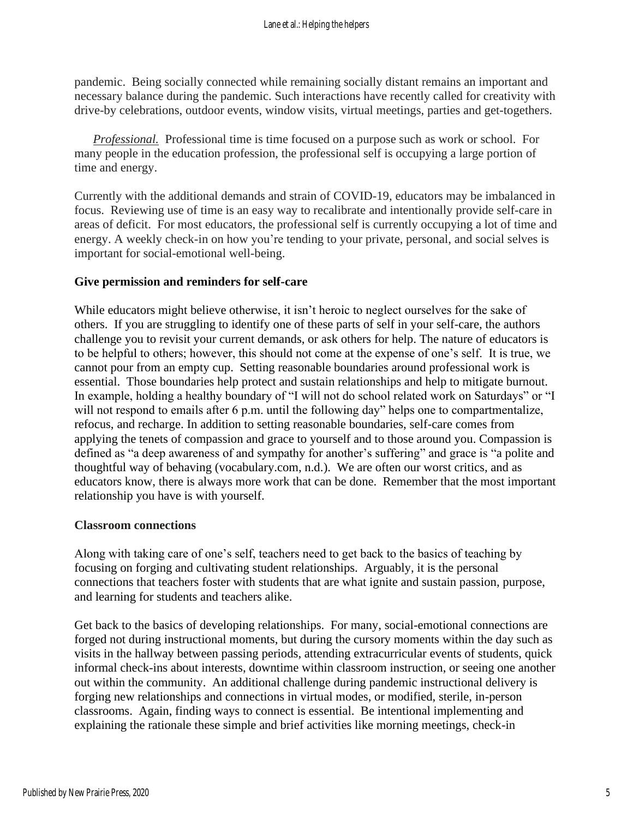pandemic. Being socially connected while remaining socially distant remains an important and necessary balance during the pandemic. Such interactions have recently called for creativity with drive-by celebrations, outdoor events, window visits, virtual meetings, parties and get-togethers.

*Professional.* Professional time is time focused on a purpose such as work or school. For many people in the education profession, the professional self is occupying a large portion of time and energy.

Currently with the additional demands and strain of COVID-19, educators may be imbalanced in focus. Reviewing use of time is an easy way to recalibrate and intentionally provide self-care in areas of deficit. For most educators, the professional self is currently occupying a lot of time and energy. A weekly check-in on how you're tending to your private, personal, and social selves is important for social-emotional well-being.

#### **Give permission and reminders for self-care**

While educators might believe otherwise, it isn't heroic to neglect ourselves for the sake of others. If you are struggling to identify one of these parts of self in your self-care, the authors challenge you to revisit your current demands, or ask others for help. The nature of educators is to be helpful to others; however, this should not come at the expense of one's self. It is true, we cannot pour from an empty cup. Setting reasonable boundaries around professional work is essential. Those boundaries help protect and sustain relationships and help to mitigate burnout. In example, holding a healthy boundary of "I will not do school related work on Saturdays" or "I will not respond to emails after 6 p.m. until the following day" helps one to compartmentalize, refocus, and recharge. In addition to setting reasonable boundaries, self-care comes from applying the tenets of compassion and grace to yourself and to those around you. Compassion is defined as "a deep awareness of and sympathy for another's suffering" and grace is "a polite and thoughtful way of behaving (vocabulary.com, n.d.). We are often our worst critics, and as educators know, there is always more work that can be done. Remember that the most important relationship you have is with yourself.

#### **Classroom connections**

Along with taking care of one's self, teachers need to get back to the basics of teaching by focusing on forging and cultivating student relationships. Arguably, it is the personal connections that teachers foster with students that are what ignite and sustain passion, purpose, and learning for students and teachers alike.

Get back to the basics of developing relationships. For many, social-emotional connections are forged not during instructional moments, but during the cursory moments within the day such as visits in the hallway between passing periods, attending extracurricular events of students, quick informal check-ins about interests, downtime within classroom instruction, or seeing one another out within the community. An additional challenge during pandemic instructional delivery is forging new relationships and connections in virtual modes, or modified, sterile, in-person classrooms. Again, finding ways to connect is essential. Be intentional implementing and explaining the rationale these simple and brief activities like morning meetings, check-in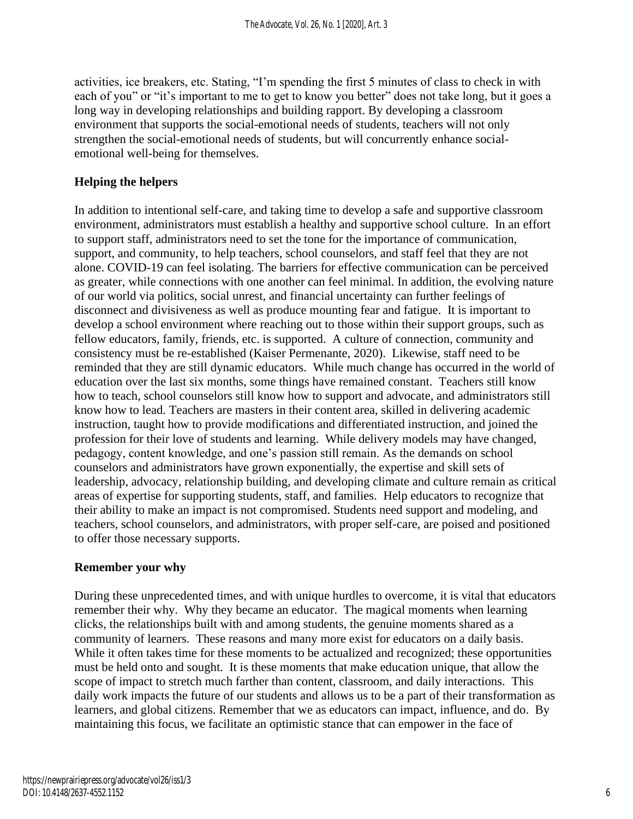activities, ice breakers, etc. Stating, "I'm spending the first 5 minutes of class to check in with each of you" or "it's important to me to get to know you better" does not take long, but it goes a long way in developing relationships and building rapport. By developing a classroom environment that supports the social-emotional needs of students, teachers will not only strengthen the social-emotional needs of students, but will concurrently enhance socialemotional well-being for themselves.

#### **Helping the helpers**

In addition to intentional self-care, and taking time to develop a safe and supportive classroom environment, administrators must establish a healthy and supportive school culture. In an effort to support staff, administrators need to set the tone for the importance of communication, support, and community, to help teachers, school counselors, and staff feel that they are not alone. COVID-19 can feel isolating. The barriers for effective communication can be perceived as greater, while connections with one another can feel minimal. In addition, the evolving nature of our world via politics, social unrest, and financial uncertainty can further feelings of disconnect and divisiveness as well as produce mounting fear and fatigue. It is important to develop a school environment where reaching out to those within their support groups, such as fellow educators, family, friends, etc. is supported. A culture of connection, community and consistency must be re-established (Kaiser Permenante, 2020). Likewise, staff need to be reminded that they are still dynamic educators. While much change has occurred in the world of education over the last six months, some things have remained constant. Teachers still know how to teach, school counselors still know how to support and advocate, and administrators still know how to lead. Teachers are masters in their content area, skilled in delivering academic instruction, taught how to provide modifications and differentiated instruction, and joined the profession for their love of students and learning. While delivery models may have changed, pedagogy, content knowledge, and one's passion still remain. As the demands on school counselors and administrators have grown exponentially, the expertise and skill sets of leadership, advocacy, relationship building, and developing climate and culture remain as critical areas of expertise for supporting students, staff, and families. Help educators to recognize that their ability to make an impact is not compromised. Students need support and modeling, and teachers, school counselors, and administrators, with proper self-care, are poised and positioned to offer those necessary supports.

#### **Remember your why**

During these unprecedented times, and with unique hurdles to overcome, it is vital that educators remember their why. Why they became an educator. The magical moments when learning clicks, the relationships built with and among students, the genuine moments shared as a community of learners. These reasons and many more exist for educators on a daily basis. While it often takes time for these moments to be actualized and recognized; these opportunities must be held onto and sought. It is these moments that make education unique, that allow the scope of impact to stretch much farther than content, classroom, and daily interactions. This daily work impacts the future of our students and allows us to be a part of their transformation as learners, and global citizens. Remember that we as educators can impact, influence, and do. By maintaining this focus, we facilitate an optimistic stance that can empower in the face of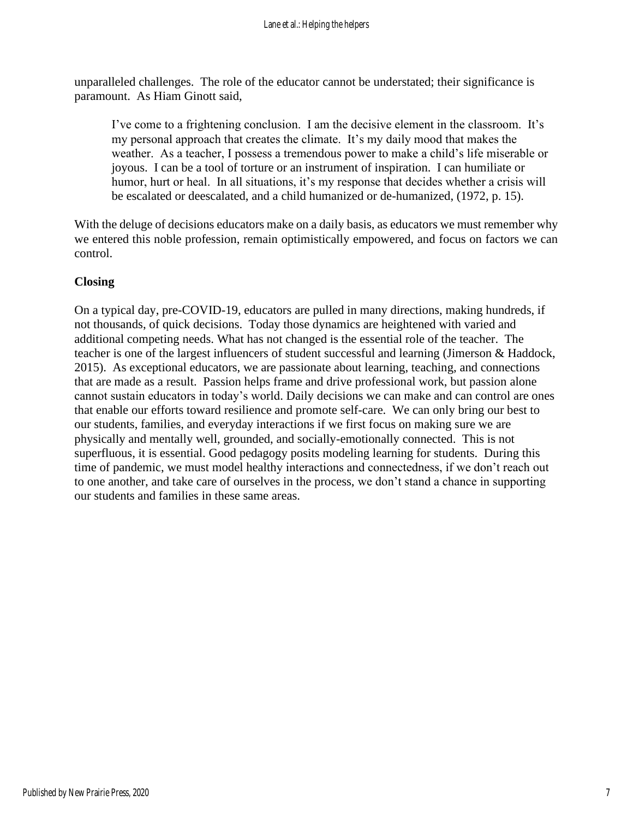unparalleled challenges. The role of the educator cannot be understated; their significance is paramount. As Hiam Ginott said,

I've come to a frightening conclusion. I am the decisive element in the classroom. It's my personal approach that creates the climate. It's my daily mood that makes the weather. As a teacher, I possess a tremendous power to make a child's life miserable or joyous. I can be a tool of torture or an instrument of inspiration. I can humiliate or humor, hurt or heal. In all situations, it's my response that decides whether a crisis will be escalated or deescalated, and a child humanized or de-humanized, (1972, p. 15).

With the deluge of decisions educators make on a daily basis, as educators we must remember why we entered this noble profession, remain optimistically empowered, and focus on factors we can control.

#### **Closing**

On a typical day, pre-COVID-19, educators are pulled in many directions, making hundreds, if not thousands, of quick decisions. Today those dynamics are heightened with varied and additional competing needs. What has not changed is the essential role of the teacher. The teacher is one of the largest influencers of student successful and learning (Jimerson & Haddock, 2015). As exceptional educators, we are passionate about learning, teaching, and connections that are made as a result. Passion helps frame and drive professional work, but passion alone cannot sustain educators in today's world. Daily decisions we can make and can control are ones that enable our efforts toward resilience and promote self-care. We can only bring our best to our students, families, and everyday interactions if we first focus on making sure we are physically and mentally well, grounded, and socially-emotionally connected. This is not superfluous, it is essential. Good pedagogy posits modeling learning for students. During this time of pandemic, we must model healthy interactions and connectedness, if we don't reach out to one another, and take care of ourselves in the process, we don't stand a chance in supporting our students and families in these same areas.